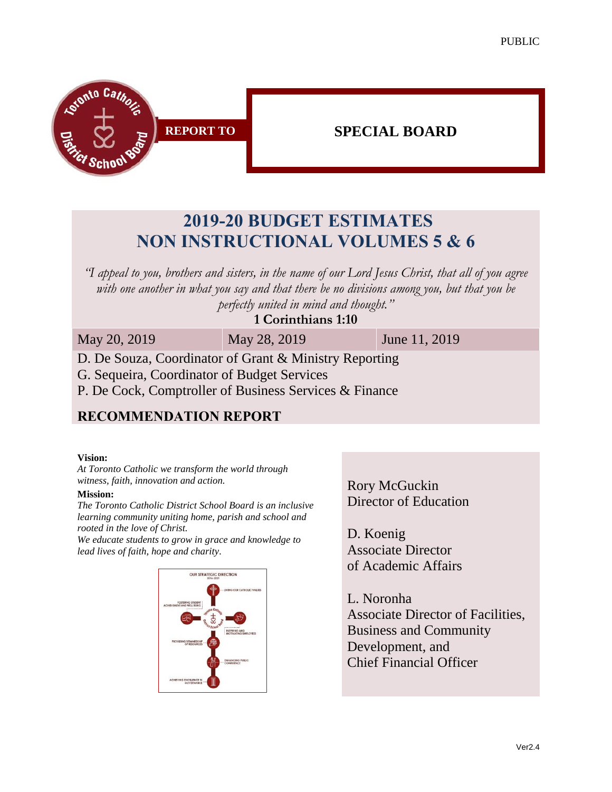PUBLIC



# **2019-20 BUDGET ESTIMATES NON INSTRUCTIONAL VOLUMES 5 & 6**

*"I appeal to you, brothers and sisters, in the name of our Lord Jesus Christ, that all of you agree with one another in what you say and that there be no divisions among you, but that you be perfectly united in mind and thought."*

#### **1 Corinthians 1:10**

May 20, 2019 May 28, 2019 June 11, 2019

D. De Souza, Coordinator of Grant & Ministry Reporting

G. Sequeira, Coordinator of Budget Services

P. De Cock, Comptroller of Business Services & Finance

#### **RECOMMENDATION REPORT**

#### **Vision:**

*At Toronto Catholic we transform the world through witness, faith, innovation and action.*

#### **Mission:**

*The Toronto Catholic District School Board is an inclusive learning community uniting home, parish and school and rooted in the love of Christ.* 

*We educate students to grow in grace and knowledge to lead lives of faith, hope and charity.*



Rory McGuckin Director of Education

D. Koenig Associate Director of Academic Affairs

L. Noronha Associate Director of Facilities, Business and Community Development, and Chief Financial Officer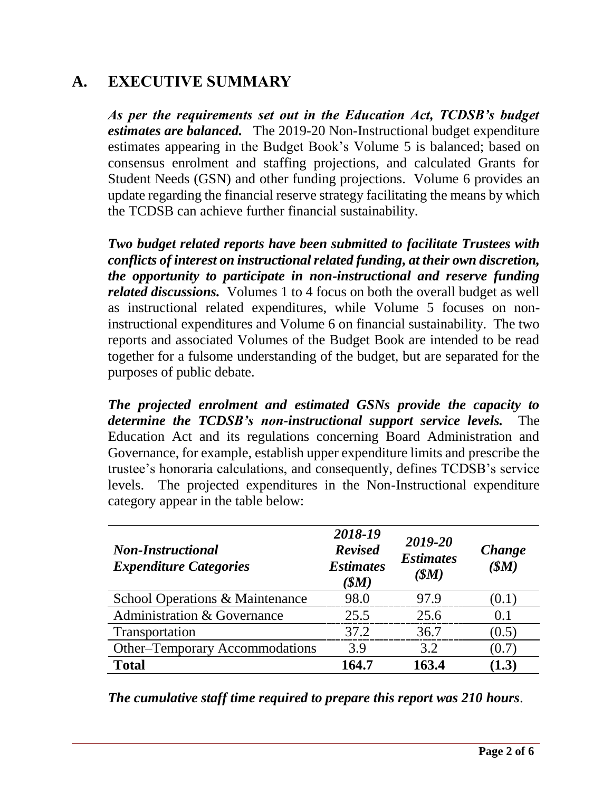### **A. EXECUTIVE SUMMARY**

*As per the requirements set out in the Education Act, TCDSB's budget estimates are balanced.* The 2019-20 Non-Instructional budget expenditure estimates appearing in the Budget Book's Volume 5 is balanced; based on consensus enrolment and staffing projections, and calculated Grants for Student Needs (GSN) and other funding projections. Volume 6 provides an update regarding the financial reserve strategy facilitating the means by which the TCDSB can achieve further financial sustainability.

*Two budget related reports have been submitted to facilitate Trustees with conflicts of interest on instructional related funding, at their own discretion, the opportunity to participate in non-instructional and reserve funding related discussions.* Volumes 1 to 4 focus on both the overall budget as well as instructional related expenditures, while Volume 5 focuses on noninstructional expenditures and Volume 6 on financial sustainability. The two reports and associated Volumes of the Budget Book are intended to be read together for a fulsome understanding of the budget, but are separated for the purposes of public debate.

*The projected enrolment and estimated GSNs provide the capacity to determine the TCDSB's non-instructional support service levels.* The Education Act and its regulations concerning Board Administration and Governance, for example, establish upper expenditure limits and prescribe the trustee's honoraria calculations, and consequently, defines TCDSB's service levels. The projected expenditures in the Non-Instructional expenditure category appear in the table below:

| <b>Non-Instructional</b><br><b>Expenditure Categories</b> | 2018-19<br><b>Revised</b><br><b>Estimates</b><br>(SM) | 2019-20<br><b>Estimates</b><br>(SM) | Change<br>(SM) |
|-----------------------------------------------------------|-------------------------------------------------------|-------------------------------------|----------------|
| School Operations & Maintenance                           | 98.0                                                  | 97.9                                | (0.1)          |
| <b>Administration &amp; Governance</b>                    | 25.5                                                  | 25.6                                | (0.1)          |
| Transportation                                            | 37.2                                                  | 36.7                                | (0.5)          |
| <b>Other–Temporary Accommodations</b>                     | 3.9                                                   | 3.2                                 | (0.7)          |
| <b>Total</b>                                              | 164.7                                                 | 163.4                               | (1.3)          |

*The cumulative staff time required to prepare this report was 210 hours*.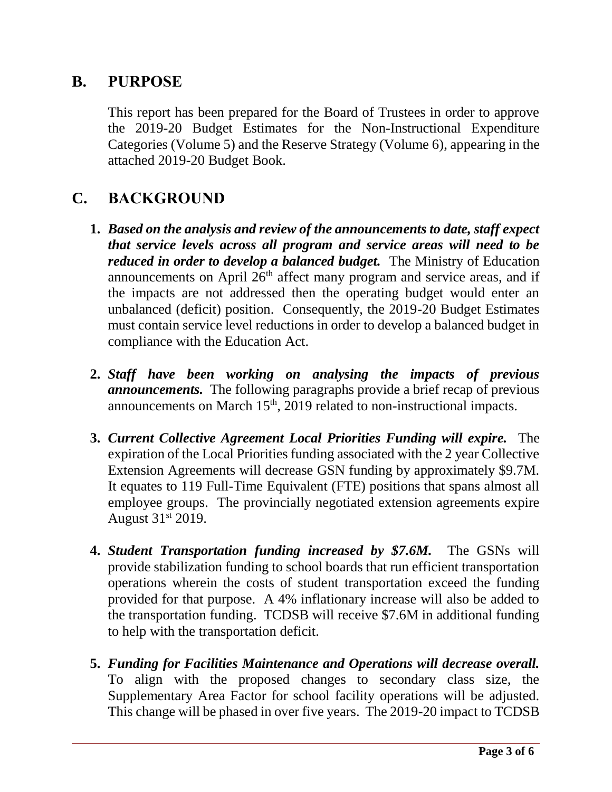### **B. PURPOSE**

This report has been prepared for the Board of Trustees in order to approve the 2019-20 Budget Estimates for the Non-Instructional Expenditure Categories (Volume 5) and the Reserve Strategy (Volume 6), appearing in the attached 2019-20 Budget Book.

## **C. BACKGROUND**

- **1.** *Based on the analysis and review of the announcements to date, staff expect that service levels across all program and service areas will need to be reduced in order to develop a balanced budget.* The Ministry of Education announcements on April  $26<sup>th</sup>$  affect many program and service areas, and if the impacts are not addressed then the operating budget would enter an unbalanced (deficit) position. Consequently, the 2019-20 Budget Estimates must contain service level reductions in order to develop a balanced budget in compliance with the Education Act.
- **2.** *Staff have been working on analysing the impacts of previous announcements.* The following paragraphs provide a brief recap of previous announcements on March  $15<sup>th</sup>$ , 2019 related to non-instructional impacts.
- **3.** *Current Collective Agreement Local Priorities Funding will expire.* The expiration of the Local Priorities funding associated with the 2 year Collective Extension Agreements will decrease GSN funding by approximately \$9.7M. It equates to 119 Full-Time Equivalent (FTE) positions that spans almost all employee groups. The provincially negotiated extension agreements expire August 31st 2019.
- **4.** *Student Transportation funding increased by \$7.6M***. The GSNs will** provide stabilization funding to school boards that run efficient transportation operations wherein the costs of student transportation exceed the funding provided for that purpose. A 4% inflationary increase will also be added to the transportation funding. TCDSB will receive \$7.6M in additional funding to help with the transportation deficit.
- **5.** *Funding for Facilities Maintenance and Operations will decrease overall.* To align with the proposed changes to secondary class size, the Supplementary Area Factor for school facility operations will be adjusted. This change will be phased in over five years. The 2019-20 impact to TCDSB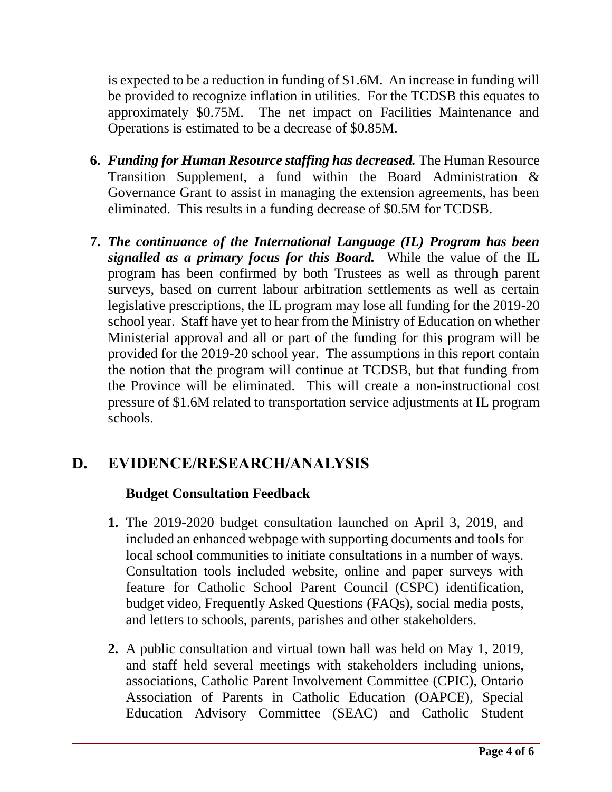is expected to be a reduction in funding of \$1.6M. An increase in funding will be provided to recognize inflation in utilities. For the TCDSB this equates to approximately \$0.75M. The net impact on Facilities Maintenance and Operations is estimated to be a decrease of \$0.85M.

- **6.** *Funding for Human Resource staffing has decreased.* The Human Resource Transition Supplement, a fund within the Board Administration & Governance Grant to assist in managing the extension agreements, has been eliminated. This results in a funding decrease of \$0.5M for TCDSB.
- **7.** *The continuance of the International Language (IL) Program has been signalled as a primary focus for this Board.* While the value of the IL program has been confirmed by both Trustees as well as through parent surveys, based on current labour arbitration settlements as well as certain legislative prescriptions, the IL program may lose all funding for the 2019-20 school year. Staff have yet to hear from the Ministry of Education on whether Ministerial approval and all or part of the funding for this program will be provided for the 2019-20 school year. The assumptions in this report contain the notion that the program will continue at TCDSB, but that funding from the Province will be eliminated. This will create a non-instructional cost pressure of \$1.6M related to transportation service adjustments at IL program schools.

## **D. EVIDENCE/RESEARCH/ANALYSIS**

#### **Budget Consultation Feedback**

- **1.** The 2019-2020 budget consultation launched on April 3, 2019, and included an enhanced webpage with supporting documents and tools for local school communities to initiate consultations in a number of ways. Consultation tools included website, online and paper surveys with feature for Catholic School Parent Council (CSPC) identification, budget video, Frequently Asked Questions (FAQs), social media posts, and letters to schools, parents, parishes and other stakeholders.
- **2.** A public consultation and virtual town hall was held on May 1, 2019, and staff held several meetings with stakeholders including unions, associations, Catholic Parent Involvement Committee (CPIC), Ontario Association of Parents in Catholic Education (OAPCE), Special Education Advisory Committee (SEAC) and Catholic Student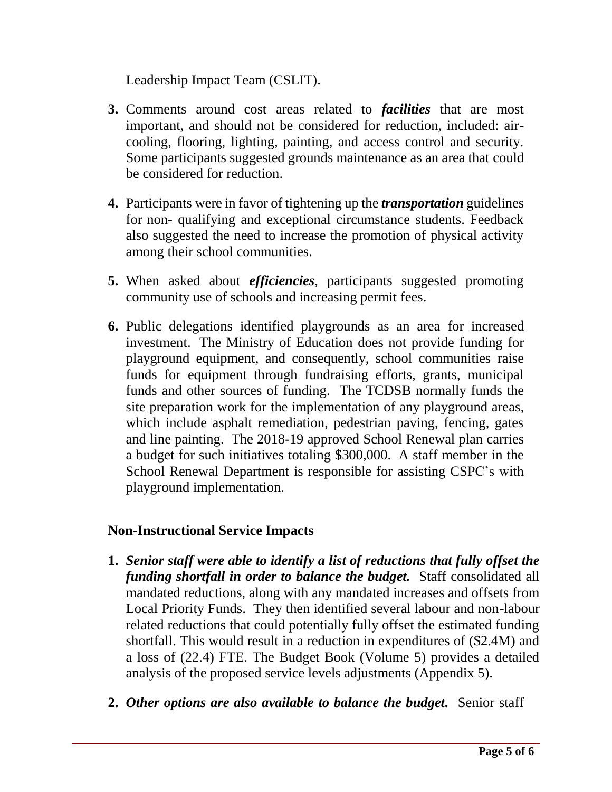Leadership Impact Team (CSLIT).

- **3.** Comments around cost areas related to *facilities* that are most important, and should not be considered for reduction, included: aircooling, flooring, lighting, painting, and access control and security. Some participants suggested grounds maintenance as an area that could be considered for reduction.
- **4.** Participants were in favor of tightening up the *transportation* guidelines for non- qualifying and exceptional circumstance students. Feedback also suggested the need to increase the promotion of physical activity among their school communities.
- **5.** When asked about *efficiencies*, participants suggested promoting community use of schools and increasing permit fees.
- **6.** Public delegations identified playgrounds as an area for increased investment. The Ministry of Education does not provide funding for playground equipment, and consequently, school communities raise funds for equipment through fundraising efforts, grants, municipal funds and other sources of funding. The TCDSB normally funds the site preparation work for the implementation of any playground areas, which include asphalt remediation, pedestrian paving, fencing, gates and line painting. The 2018-19 approved School Renewal plan carries a budget for such initiatives totaling \$300,000. A staff member in the School Renewal Department is responsible for assisting CSPC's with playground implementation.

#### **Non-Instructional Service Impacts**

- **1.** *Senior staff were able to identify a list of reductions that fully offset the funding shortfall in order to balance the budget.* Staff consolidated all mandated reductions, along with any mandated increases and offsets from Local Priority Funds. They then identified several labour and non-labour related reductions that could potentially fully offset the estimated funding shortfall. This would result in a reduction in expenditures of (\$2.4M) and a loss of (22.4) FTE. The Budget Book (Volume 5) provides a detailed analysis of the proposed service levels adjustments (Appendix 5).
- **2.** *Other options are also available to balance the budget.* Senior staff